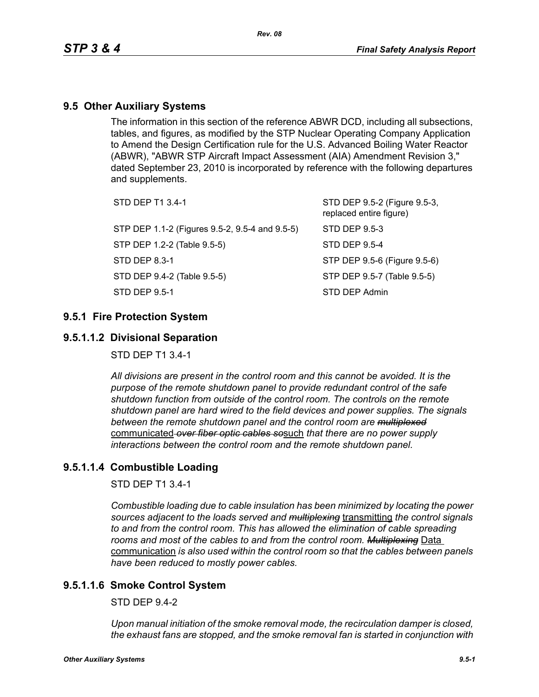## **9.5 Other Auxiliary Systems**

The information in this section of the reference ABWR DCD, including all subsections, tables, and figures, as modified by the STP Nuclear Operating Company Application to Amend the Design Certification rule for the U.S. Advanced Boiling Water Reactor (ABWR), "ABWR STP Aircraft Impact Assessment (AIA) Amendment Revision 3," dated September 23, 2010 is incorporated by reference with the following departures and supplements.

| STD DEP T1 3.4-1                               | STD DEP 9.5-2 (Figure 9.5-3,<br>replaced entire figure) |
|------------------------------------------------|---------------------------------------------------------|
| STP DEP 1.1-2 (Figures 9.5-2, 9.5-4 and 9.5-5) | STD DEP 9.5-3                                           |
| STP DEP 1.2-2 (Table 9.5-5)                    | STD DEP 9.5-4                                           |
| STD DEP 8.3-1                                  | STP DEP 9.5-6 (Figure 9.5-6)                            |
| STD DEP 9.4-2 (Table 9.5-5)                    | STP DEP 9.5-7 (Table 9.5-5)                             |
| STD DEP 9.5-1                                  | STD DEP Admin                                           |
|                                                |                                                         |

## **9.5.1 Fire Protection System**

## **9.5.1.1.2 Divisional Separation**

STD DEP T1 3.4-1

*All divisions are present in the control room and this cannot be avoided. It is the purpose of the remote shutdown panel to provide redundant control of the safe shutdown function from outside of the control room. The controls on the remote shutdown panel are hard wired to the field devices and power supplies. The signals between the remote shutdown panel and the control room are multiplexed* communicated *over fiber optic cables so*such *that there are no power supply interactions between the control room and the remote shutdown panel.*

## **9.5.1.1.4 Combustible Loading**

STD DEP T1 3.4-1

*Combustible loading due to cable insulation has been minimized by locating the power sources adjacent to the loads served and multiplexing* transmitting *the control signals to and from the control room. This has allowed the elimination of cable spreading rooms and most of the cables to and from the control room. Multiplexing* Data communication *is also used within the control room so that the cables between panels have been reduced to mostly power cables.*

## **9.5.1.1.6 Smoke Control System**

 $STD$  DFP 9.4-2

*Upon manual initiation of the smoke removal mode, the recirculation damper is closed, the exhaust fans are stopped, and the smoke removal fan is started in conjunction with*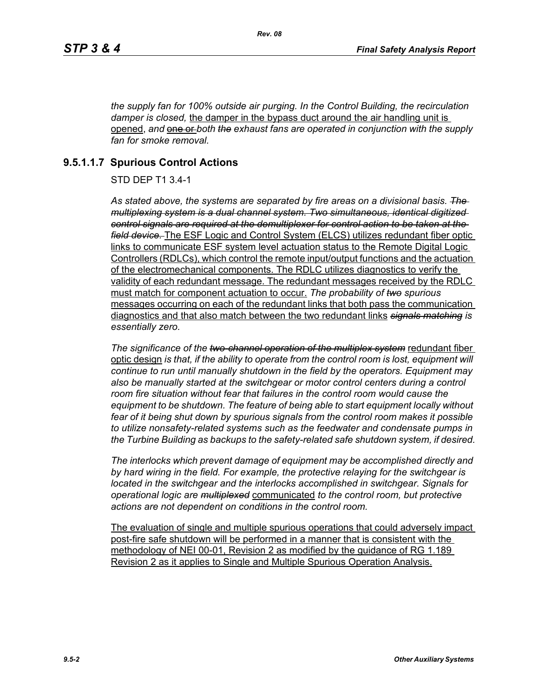*the supply fan for 100% outside air purging. In the Control Building, the recirculation damper is closed,* the damper in the bypass duct around the air handling unit is opened, and one or *both* the exhaust fans are operated in conjunction with the supply *fan for smoke removal.*

# **9.5.1.1.7 Spurious Control Actions**

STD DEP T1 3.4-1

*As stated above, the systems are separated by fire areas on a divisional basis. The multiplexing system is a dual channel system. Two simultaneous, identical digitized control signals are required at the demultiplexer for control action to be taken at the field device.* The ESF Logic and Control System (ELCS) utilizes redundant fiber optic links to communicate ESF system level actuation status to the Remote Digital Logic Controllers (RDLCs), which control the remote input/output functions and the actuation of the electromechanical components. The RDLC utilizes diagnostics to verify the validity of each redundant message. The redundant messages received by the RDLC must match for component actuation to occur. *The probability of two spurious* messages occurring on each of the redundant links that both pass the communication diagnostics and that also match between the two redundant links *signals matching is essentially zero.*

*The significance of the two-channel operation of the multiplex system* redundant fiber optic design *is that, if the ability to operate from the control room is lost, equipment will continue to run until manually shutdown in the field by the operators. Equipment may*  also be manually started at the switchgear or motor control centers during a control *room fire situation without fear that failures in the control room would cause the equipment to be shutdown. The feature of being able to start equipment locally without fear of it being shut down by spurious signals from the control room makes it possible to utilize nonsafety-related systems such as the feedwater and condensate pumps in the Turbine Building as backups to the safety-related safe shutdown system, if desired.*

*The interlocks which prevent damage of equipment may be accomplished directly and by hard wiring in the field. For example, the protective relaying for the switchgear is located in the switchgear and the interlocks accomplished in switchgear. Signals for operational logic are multiplexed* communicated *to the control room, but protective actions are not dependent on conditions in the control room.*

The evaluation of single and multiple spurious operations that could adversely impact post-fire safe shutdown will be performed in a manner that is consistent with the methodology of NEI 00-01, Revision 2 as modified by the guidance of RG 1.189 Revision 2 as it applies to Single and Multiple Spurious Operation Analysis.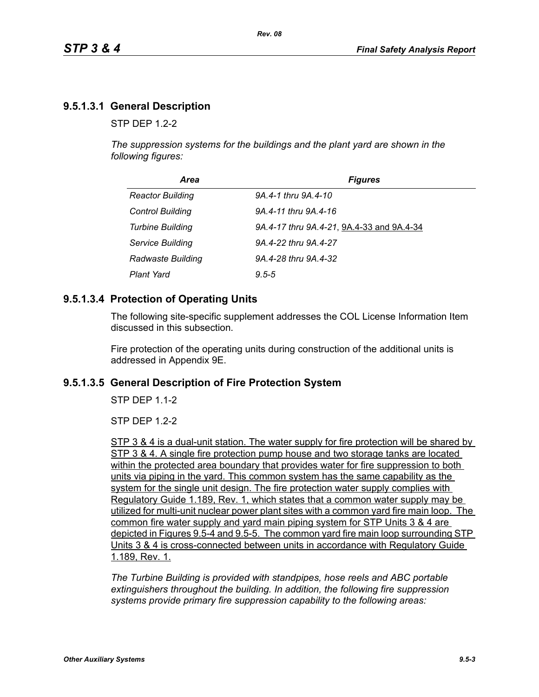# **9.5.1.3.1 General Description**

 $STP$  DFP 12-2

*The suppression systems for the buildings and the plant yard are shown in the following figures:*

| Area                    | <b>Figures</b>                            |
|-------------------------|-------------------------------------------|
| <b>Reactor Building</b> | 9A.4-1 thru 9A.4-10                       |
| <b>Control Building</b> | 9A.4-11 thru 9A.4-16                      |
| <b>Turbine Building</b> | 9A.4-17 thru 9A.4-21, 9A.4-33 and 9A.4-34 |
| Service Building        | 9A.4-22 thru 9A.4-27                      |
| Radwaste Building       | 9A.4-28 thru 9A.4-32                      |
| <b>Plant Yard</b>       | $9.5 - 5$                                 |

## **9.5.1.3.4 Protection of Operating Units**

The following site-specific supplement addresses the COL License Information Item discussed in this subsection.

Fire protection of the operating units during construction of the additional units is addressed in Appendix 9E.

### **9.5.1.3.5 General Description of Fire Protection System**

STP DEP 1.1-2

STP DEP 1.2-2

STP 3 & 4 is a dual-unit station. The water supply for fire protection will be shared by STP 3 & 4. A single fire protection pump house and two storage tanks are located within the protected area boundary that provides water for fire suppression to both units via piping in the yard. This common system has the same capability as the system for the single unit design. The fire protection water supply complies with Regulatory Guide 1.189, Rev. 1, which states that a common water supply may be utilized for multi-unit nuclear power plant sites with a common yard fire main loop. The common fire water supply and yard main piping system for STP Units 3 & 4 are depicted in Figures 9.5-4 and 9.5-5. The common yard fire main loop surrounding STP Units 3 & 4 is cross-connected between units in accordance with Regulatory Guide 1.189, Rev. 1.

*The Turbine Building is provided with standpipes, hose reels and ABC portable extinguishers throughout the building. In addition, the following fire suppression systems provide primary fire suppression capability to the following areas:*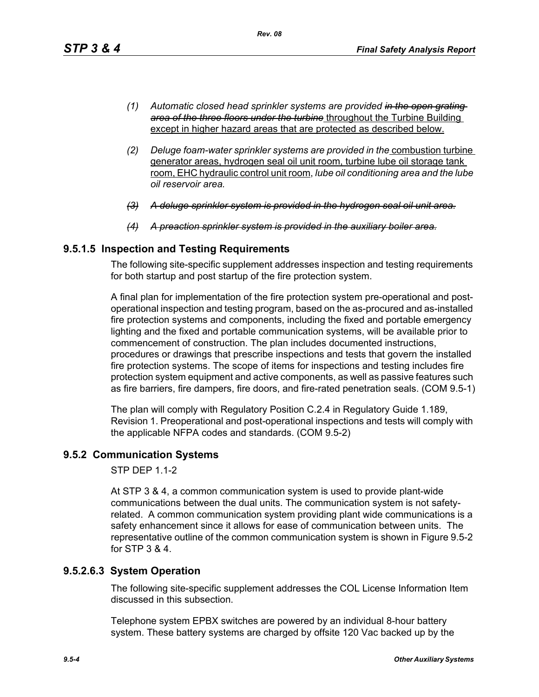- *(1) Automatic closed head sprinkler systems are provided in the open grating area of the three floors under the turbine* throughout the Turbine Building except in higher hazard areas that are protected as described below.
- *(2) Deluge foam-water sprinkler systems are provided in the* combustion turbine generator areas, hydrogen seal oil unit room, turbine lube oil storage tank room, EHC hydraulic control unit room, *lube oil conditioning area and the lube oil reservoir area.*
- *(3) A deluge sprinkler system is provided in the hydrogen seal oil unit area.*
- *(4) A preaction sprinkler system is provided in the auxiliary boiler area.*

## **9.5.1.5 Inspection and Testing Requirements**

The following site-specific supplement addresses inspection and testing requirements for both startup and post startup of the fire protection system.

A final plan for implementation of the fire protection system pre-operational and postoperational inspection and testing program, based on the as-procured and as-installed fire protection systems and components, including the fixed and portable emergency lighting and the fixed and portable communication systems, will be available prior to commencement of construction. The plan includes documented instructions, procedures or drawings that prescribe inspections and tests that govern the installed fire protection systems. The scope of items for inspections and testing includes fire protection system equipment and active components, as well as passive features such as fire barriers, fire dampers, fire doors, and fire-rated penetration seals. (COM 9.5-1)

The plan will comply with Regulatory Position C.2.4 in Regulatory Guide 1.189, Revision 1. Preoperational and post-operational inspections and tests will comply with the applicable NFPA codes and standards. (COM 9.5-2)

# **9.5.2 Communication Systems**

STP DEP 1.1-2

At STP 3 & 4, a common communication system is used to provide plant-wide communications between the dual units. The communication system is not safetyrelated. A common communication system providing plant wide communications is a safety enhancement since it allows for ease of communication between units. The representative outline of the common communication system is shown in Figure 9.5-2 for STP 3 & 4.

### **9.5.2.6.3 System Operation**

The following site-specific supplement addresses the COL License Information Item discussed in this subsection.

Telephone system EPBX switches are powered by an individual 8-hour battery system. These battery systems are charged by offsite 120 Vac backed up by the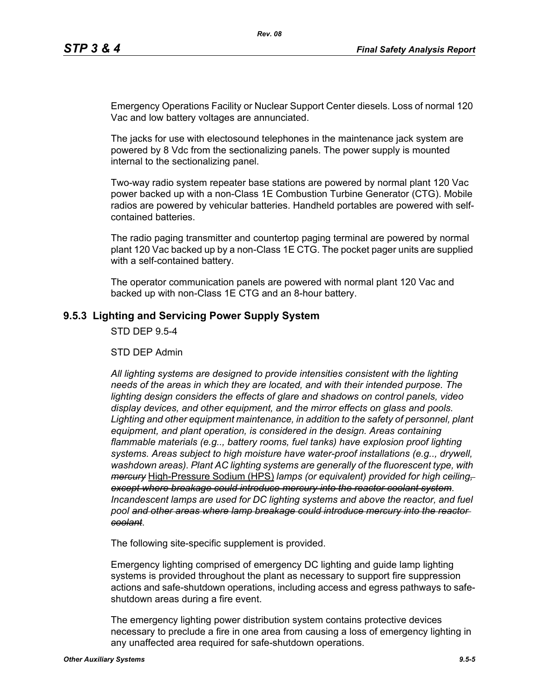Emergency Operations Facility or Nuclear Support Center diesels. Loss of normal 120 Vac and low battery voltages are annunciated.

The jacks for use with electosound telephones in the maintenance jack system are powered by 8 Vdc from the sectionalizing panels. The power supply is mounted internal to the sectionalizing panel.

Two-way radio system repeater base stations are powered by normal plant 120 Vac power backed up with a non-Class 1E Combustion Turbine Generator (CTG). Mobile radios are powered by vehicular batteries. Handheld portables are powered with selfcontained batteries.

The radio paging transmitter and countertop paging terminal are powered by normal plant 120 Vac backed up by a non-Class 1E CTG. The pocket pager units are supplied with a self-contained battery.

The operator communication panels are powered with normal plant 120 Vac and backed up with non-Class 1E CTG and an 8-hour battery.

### **9.5.3 Lighting and Servicing Power Supply System**

STD DEP 9.5-4

STD DEP Admin

*All lighting systems are designed to provide intensities consistent with the lighting needs of the areas in which they are located, and with their intended purpose. The lighting design considers the effects of glare and shadows on control panels, video display devices, and other equipment, and the mirror effects on glass and pools. Lighting and other equipment maintenance, in addition to the safety of personnel, plant equipment, and plant operation, is considered in the design. Areas containing flammable materials (e.g.., battery rooms, fuel tanks) have explosion proof lighting systems. Areas subject to high moisture have water-proof installations (e.g.., drywell, washdown areas). Plant AC lighting systems are generally of the fluorescent type, with mercury* High-Pressure Sodium (HPS) *lamps (or equivalent) provided for high ceiling, except where breakage could introduce mercury into the reactor coolant system*. *Incandescent lamps are used for DC lighting systems and above the reactor, and fuel pool and other areas where lamp breakage could introduce mercury into the reactor coolant*.

The following site-specific supplement is provided.

Emergency lighting comprised of emergency DC lighting and guide lamp lighting systems is provided throughout the plant as necessary to support fire suppression actions and safe-shutdown operations, including access and egress pathways to safeshutdown areas during a fire event.

The emergency lighting power distribution system contains protective devices necessary to preclude a fire in one area from causing a loss of emergency lighting in any unaffected area required for safe-shutdown operations.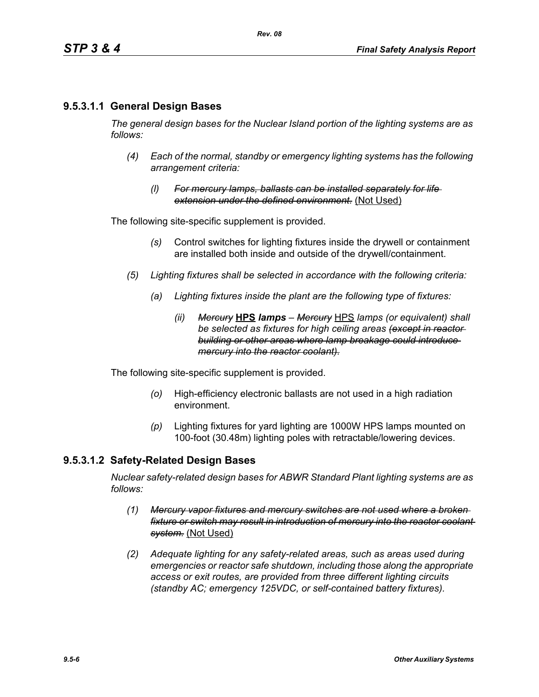## **9.5.3.1.1 General Design Bases**

*The general design bases for the Nuclear Island portion of the lighting systems are as follows:*

- *(4) Each of the normal, standby or emergency lighting systems has the following arrangement criteria:*
	- *(l) For mercury lamps, ballasts can be installed separately for life extension under the defined environment.* (Not Used)

The following site-specific supplement is provided.

- *(s)* Control switches for lighting fixtures inside the drywell or containment are installed both inside and outside of the drywell/containment.
- *(5) Lighting fixtures shall be selected in accordance with the following criteria:*
	- *(a) Lighting fixtures inside the plant are the following type of fixtures:*
		- *(ii) Mercury* **HPS** *lamps Mercury* HPS *lamps (or equivalent) shall be selected as fixtures for high ceiling areas (except in reactor building or other areas where lamp breakage could introduce mercury into the reactor coolant).*

The following site-specific supplement is provided.

- *(o)* High-efficiency electronic ballasts are not used in a high radiation environment.
- *(p)* Lighting fixtures for yard lighting are 1000W HPS lamps mounted on 100-foot (30.48m) lighting poles with retractable/lowering devices.

### **9.5.3.1.2 Safety-Related Design Bases**

*Nuclear safety-related design bases for ABWR Standard Plant lighting systems are as follows:*

- *(1) Mercury vapor fixtures and mercury switches are not used where a broken fixture or switch may result in introduction of mercury into the reactor coolant system.* (Not Used)
- *(2) Adequate lighting for any safety-related areas, such as areas used during emergencies or reactor safe shutdown, including those along the appropriate access or exit routes, are provided from three different lighting circuits (standby AC; emergency 125VDC, or self-contained battery fixtures).*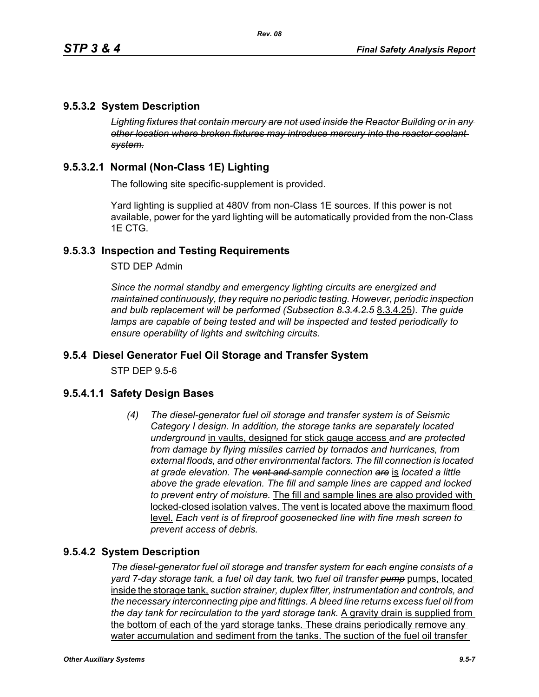## **9.5.3.2 System Description**

*Lighting fixtures that contain mercury are not used inside the Reactor Building or in any other location where broken fixtures may introduce mercury into the reactor coolant system.*

# **9.5.3.2.1 Normal (Non-Class 1E) Lighting**

The following site specific-supplement is provided.

Yard lighting is supplied at 480V from non-Class 1E sources. If this power is not available, power for the yard lighting will be automatically provided from the non-Class 1E CTG.

## **9.5.3.3 Inspection and Testing Requirements**

STD DEP Admin

*Since the normal standby and emergency lighting circuits are energized and maintained continuously, they require no periodic testing. However, periodic inspection and bulb replacement will be performed (Subsection 8.3.4.2.5* 8.3.4.25*). The guide lamps are capable of being tested and will be inspected and tested periodically to ensure operability of lights and switching circuits.*

### **9.5.4 Diesel Generator Fuel Oil Storage and Transfer System**

STP DEP 9.5-6

### **9.5.4.1.1 Safety Design Bases**

*(4) The diesel-generator fuel oil storage and transfer system is of Seismic Category I design. In addition, the storage tanks are separately located underground* in vaults, designed for stick gauge access *and are protected from damage by flying missiles carried by tornados and hurricanes, from external floods, and other environmental factors. The fill connection is located at grade elevation. The vent and sample connection are* is *located a little above the grade elevation. The fill and sample lines are capped and locked to prevent entry of moisture.* The fill and sample lines are also provided with locked-closed isolation valves. The vent is located above the maximum flood level. *Each vent is of fireproof goosenecked line with fine mesh screen to prevent access of debris.*

### **9.5.4.2 System Description**

*The diesel-generator fuel oil storage and transfer system for each engine consists of a yard 7-day storage tank, a fuel oil day tank,* two *fuel oil transfer pump* pumps, located inside the storage tank, *suction strainer, duplex filter, instrumentation and controls, and the necessary interconnecting pipe and fittings. A bleed line returns excess fuel oil from the day tank for recirculation to the yard storage tank.* A gravity drain is supplied from the bottom of each of the yard storage tanks. These drains periodically remove any water accumulation and sediment from the tanks. The suction of the fuel oil transfer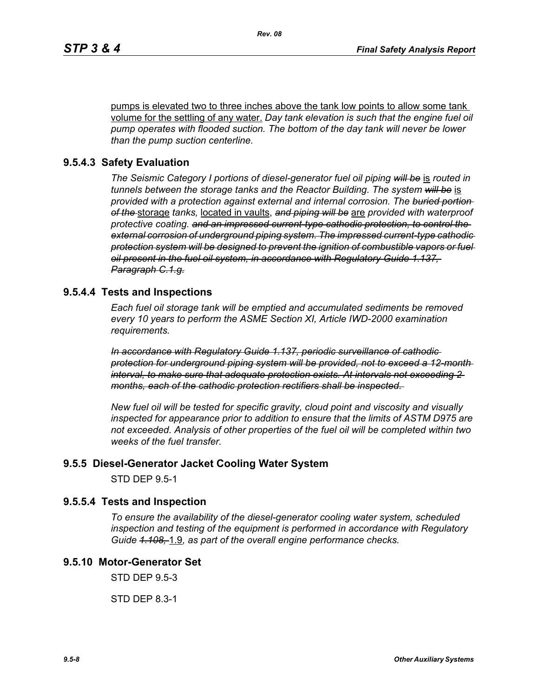pumps is elevated two to three inches above the tank low points to allow some tank volume for the settling of any water. *Day tank elevation is such that the engine fuel oil pump operates with flooded suction. The bottom of the day tank will never be lower than the pump suction centerline.*

### **9.5.4.3 Safety Evaluation**

*The Seismic Category I portions of diesel-generator fuel oil piping will be* is *routed in tunnels between the storage tanks and the Reactor Building. The system will be* is *provided with a protection against external and internal corrosion. The buried portion of the* storage *tanks,* located in vaults, *and piping will be* are *provided with waterproof protective coating. and an impressed current-type cathodic protection, to control the external corrosion of underground piping system. The impressed current-type cathodic protection system will be designed to prevent the ignition of combustible vapors or fuel oil present in the fuel oil system, in accordance with Regulatory Guide 1.137, Paragraph C.1.g.*

### **9.5.4.4 Tests and Inspections**

*Each fuel oil storage tank will be emptied and accumulated sediments be removed every 10 years to perform the ASME Section XI, Article IWD-2000 examination requirements.*

*In accordance with Regulatory Guide 1.137, periodic surveillance of cathodic protection for underground piping system will be provided, not to exceed a 12-month interval, to make sure that adequate protection exists. At intervals not exceeding 2 months, each of the cathodic protection rectifiers shall be inspected.* 

*New fuel oil will be tested for specific gravity, cloud point and viscosity and visually inspected for appearance prior to addition to ensure that the limits of ASTM D975 are not exceeded. Analysis of other properties of the fuel oil will be completed within two weeks of the fuel transfer.*

#### **9.5.5 Diesel-Generator Jacket Cooling Water System**

STD DEP 9.5-1

#### **9.5.5.4 Tests and Inspection**

*To ensure the availability of the diesel-generator cooling water system, scheduled inspection and testing of the equipment is performed in accordance with Regulatory Guide 1.108,* 1.9*, as part of the overall engine performance checks.*

## **9.5.10 Motor-Generator Set**

STD DEP 9.5-3

STD DEP 8.3-1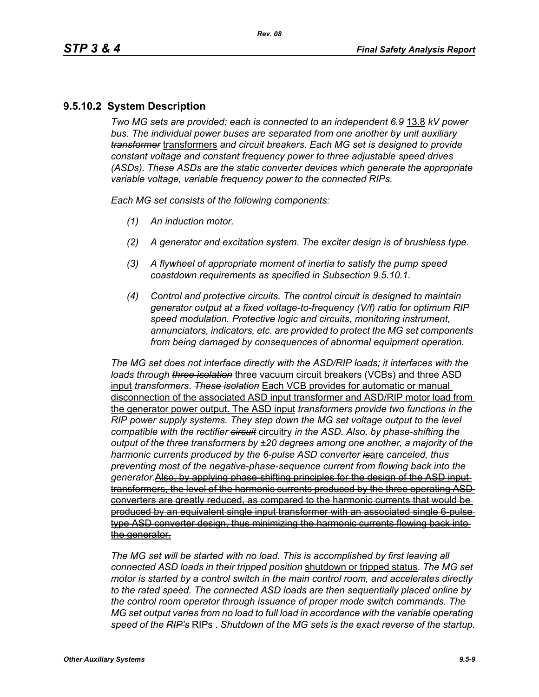# **9.5.10.2 System Description**

*Two MG sets are provided; each is connected to an independent 6.9* 13.8 *kV power bus. The individual power buses are separated from one another by unit auxiliary transformer* transformers *and circuit breakers. Each MG set is designed to provide constant voltage and constant frequency power to three adjustable speed drives (ASDs). These ASDs are the static converter devices which generate the appropriate variable voltage, variable frequency power to the connected RIPs.*

*Each MG set consists of the following components:*

- *(1) An induction motor.*
- *(2) A generator and excitation system. The exciter design is of brushless type.*
- *(3) A flywheel of appropriate moment of inertia to satisfy the pump speed coastdown requirements as specified in Subsection 9.5.10.1.*
- *(4) Control and protective circuits. The control circuit is designed to maintain generator output at a fixed voltage-to-frequency (V/f) ratio for optimum RIP speed modulation. Protective logic and circuits, monitoring instrument, annunciators, indicators, etc. are provided to protect the MG set components from being damaged by consequences of abnormal equipment operation.*

*The MG set does not interface directly with the ASD/RIP loads; it interfaces with the loads through three isolation* three vacuum circuit breakers (VCBs) and three ASD input *transformers*. *These isolation* Each VCB provides for automatic or manual disconnection of the associated ASD input transformer and ASD/RIP motor load from the generator power output. The ASD input *transformers provide two functions in the RIP power supply systems. They step down the MG set voltage output to the level compatible with the rectifier circuit* circuitry *in the ASD. Also, by phase-shifting the output of the three transformers by ±20 degrees among one another, a majority of the harmonic currents produced by the 6-pulse ASD converter is*are *canceled, thus preventing most of the negative-phase-sequence current from flowing back into the generator.*Also, by applying phase-shifting principles for the design of the ASD input transformers, the level of the harmonic currents produced by the three operating ASD converters are greatly reduced, as compared to the harmonic currents that would be produced by an equivalent single input transformer with an associated single 6-pulse type ASD converter design, thus minimizing the harmonic currents flowing back into the generator.

*The MG set will be started with no load. This is accomplished by first leaving all connected ASD loads in their tripped position* shutdown or tripped status. *The MG set motor is started by a control switch in the main control room, and accelerates directly to the rated speed. The connected ASD loads are then sequentially placed online by the control room operator through issuance of proper mode switch commands. The MG set output varies from no load to full load in accordance with the variable operating speed of the RIP's* RIPs . *Shutdown of the MG sets is the exact reverse of the startup.*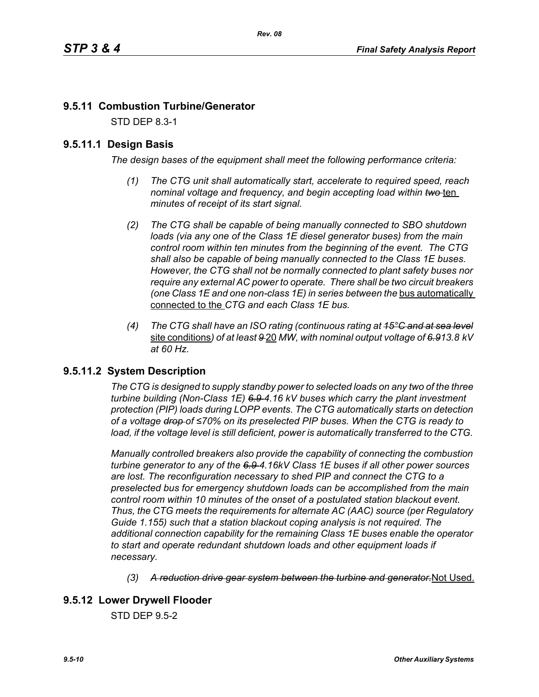# **9.5.11 Combustion Turbine/Generator**

STD DEP 8.3-1

## **9.5.11.1 Design Basis**

*The design bases of the equipment shall meet the following performance criteria:*

- *(1) The CTG unit shall automatically start, accelerate to required speed, reach nominal voltage and frequency, and begin accepting load within two* ten *minutes of receipt of its start signal.*
- *(2) The CTG shall be capable of being manually connected to SBO shutdown loads (via any one of the Class 1E diesel generator buses) from the main control room within ten minutes from the beginning of the event. The CTG shall also be capable of being manually connected to the Class 1E buses. However, the CTG shall not be normally connected to plant safety buses nor require any external AC power to operate. There shall be two circuit breakers (one Class 1E and one non-class 1E) in series between the bus automatically* connected to the *CTG and each Class 1E bus.*
- *(4) The CTG shall have an ISO rating (continuous rating at 15°C and at sea level* site conditions*) of at least 9* 20 *MW, with nominal output voltage of 6.913.8 kV at 60 Hz.*

## **9.5.11.2 System Description**

*The CTG is designed to supply standby power to selected loads on any two of the three turbine building (Non-Class 1E) 6.9 4.16 kV buses which carry the plant investment protection (PIP) loads during LOPP events. The CTG automatically starts on detection of a voltage drop of ≤70% on its preselected PIP buses. When the CTG is ready to*  load, if the voltage level is still deficient, power is automatically transferred to the CTG.

*Manually controlled breakers also provide the capability of connecting the combustion turbine generator to any of the 6.9 4.16kV Class 1E buses if all other power sources are lost. The reconfiguration necessary to shed PIP and connect the CTG to a preselected bus for emergency shutdown loads can be accomplished from the main control room within 10 minutes of the onset of a postulated station blackout event. Thus, the CTG meets the requirements for alternate AC (AAC) source (per Regulatory Guide 1.155) such that a station blackout coping analysis is not required. The additional connection capability for the remaining Class 1E buses enable the operator to start and operate redundant shutdown loads and other equipment loads if necessary.*

*(3) A reduction drive gear system between the turbine and generator.*Not Used.

## **9.5.12 Lower Drywell Flooder**

STD DEP 9.5-2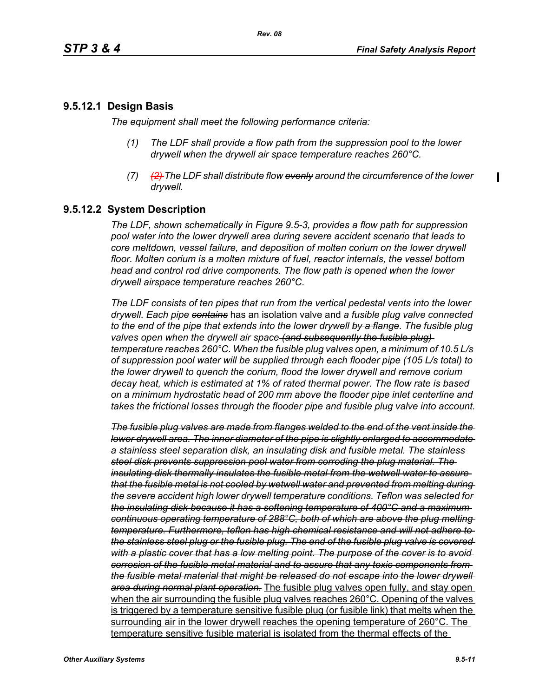## **9.5.12.1 Design Basis**

*The equipment shall meet the following performance criteria:*

- *(1) The LDF shall provide a flow path from the suppression pool to the lower drywell when the drywell air space temperature reaches 260°C.*
- *(7) (2) The LDF shall distribute flow evenly around the circumference of the lower drywell.*

## **9.5.12.2 System Description**

*The LDF, shown schematically in Figure 9.5-3, provides a flow path for suppression pool water into the lower drywell area during severe accident scenario that leads to core meltdown, vessel failure, and deposition of molten corium on the lower drywell floor. Molten corium is a molten mixture of fuel, reactor internals, the vessel bottom head and control rod drive components. The flow path is opened when the lower drywell airspace temperature reaches 260°C*.

*The LDF consists of ten pipes that run from the vertical pedestal vents into the lower drywell. Each pipe contains* has an isolation valve and *a fusible plug valve connected to the end of the pipe that extends into the lower drywell by a flange. The fusible plug valves open when the drywell air space (and subsequently the fusible plug) temperature reaches 260°C*. *When the fusible plug valves open, a minimum of 10.5 L/s of suppression pool water will be supplied through each flooder pipe (105 L/s total) to the lower drywell to quench the corium, flood the lower drywell and remove corium decay heat, which is estimated at 1% of rated thermal power. The flow rate is based on a minimum hydrostatic head of 200 mm above the flooder pipe inlet centerline and takes the frictional losses through the flooder pipe and fusible plug valve into account.*

*The fusible plug valves are made from flanges welded to the end of the vent inside the lower drywell area. The inner diameter of the pipe is slightly enlarged to accommodate a stainless steel separation disk, an insulating disk and fusible metal. The stainless steel disk prevents suppression pool water from corroding the plug material. The insulating disk thermally insulates the fusible metal from the wetwell water to assure that the fusible metal is not cooled by wetwell water and prevented from melting during the severe accident high lower drywell temperature conditions. Teflon was selected for the insulating disk because it has a softening temperature of 400°C and a maximum continuous operating temperature of 288°C, both of which are above the plug melting temperature. Furthermore, teflon has high chemical resistance and will not adhere to the stainless steel plug or the fusible plug. The end of the fusible plug valve is covered with a plastic cover that has a low melting point. The purpose of the cover is to avoid corrosion of the fusible metal material and to assure that any toxic components from the fusible metal material that might be released do not escape into the lower drywell area during normal plant operation.* The fusible plug valves open fully, and stay open when the air surrounding the fusible plug valves reaches 260°C. Opening of the valves is triggered by a temperature sensitive fusible plug (or fusible link) that melts when the surrounding air in the lower drywell reaches the opening temperature of 260°C. The temperature sensitive fusible material is isolated from the thermal effects of the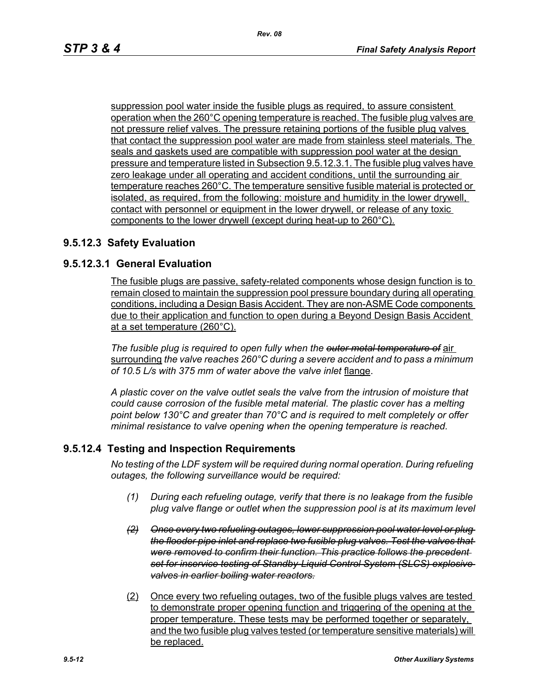suppression pool water inside the fusible plugs as required, to assure consistent operation when the 260°C opening temperature is reached. The fusible plug valves are not pressure relief valves. The pressure retaining portions of the fusible plug valves that contact the suppression pool water are made from stainless steel materials. The seals and gaskets used are compatible with suppression pool water at the design pressure and temperature listed in Subsection 9.5.12.3.1. The fusible plug valves have zero leakage under all operating and accident conditions, until the surrounding air temperature reaches 260°C. The temperature sensitive fusible material is protected or isolated, as required, from the following: moisture and humidity in the lower drywell, contact with personnel or equipment in the lower drywell, or release of any toxic components to the lower drywell (except during heat-up to 260°C).

## **9.5.12.3 Safety Evaluation**

## **9.5.12.3.1 General Evaluation**

The fusible plugs are passive, safety-related components whose design function is to remain closed to maintain the suppression pool pressure boundary during all operating conditions, including a Design Basis Accident. They are non-ASME Code components due to their application and function to open during a Beyond Design Basis Accident at a set temperature (260°C).

*The fusible plug is required to open fully when the outer metal temperature of* air surrounding *the valve reaches 260°C during a severe accident and to pass a minimum of 10.5 L/s with 375 mm of water above the valve inlet* flange.

*A plastic cover on the valve outlet seals the valve from the intrusion of moisture that could cause corrosion of the fusible metal material. The plastic cover has a melting point below 130°C and greater than 70°C and is required to melt completely or offer minimal resistance to valve opening when the opening temperature is reached.*

### **9.5.12.4 Testing and Inspection Requirements**

*No testing of the LDF system will be required during normal operation. During refueling outages, the following surveillance would be required:*

- *(1) During each refueling outage, verify that there is no leakage from the fusible plug valve flange or outlet when the suppression pool is at its maximum level*
- *(2) Once every two refueling outages, lower suppression pool water level or plug the flooder pipe inlet and replace two fusible plug valves. Test the valves that were removed to confirm their function. This practice follows the precedent set for inservice testing of Standby-Liquid Control System (SLCS) explosive valves in earlier boiling water reactors.*
- (2) Once every two refueling outages, two of the fusible plugs valves are tested to demonstrate proper opening function and triggering of the opening at the proper temperature. These tests may be performed together or separately, and the two fusible plug valves tested (or temperature sensitive materials) will be replaced.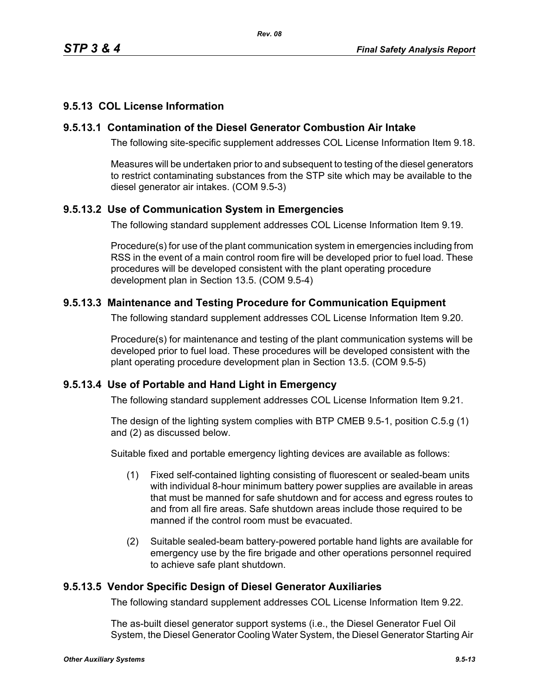# **9.5.13 COL License Information**

## **9.5.13.1 Contamination of the Diesel Generator Combustion Air Intake**

The following site-specific supplement addresses COL License Information Item 9.18.

Measures will be undertaken prior to and subsequent to testing of the diesel generators to restrict contaminating substances from the STP site which may be available to the diesel generator air intakes. (COM 9.5-3)

# **9.5.13.2 Use of Communication System in Emergencies**

The following standard supplement addresses COL License Information Item 9.19.

Procedure(s) for use of the plant communication system in emergencies including from RSS in the event of a main control room fire will be developed prior to fuel load. These procedures will be developed consistent with the plant operating procedure development plan in Section 13.5. (COM 9.5-4)

# **9.5.13.3 Maintenance and Testing Procedure for Communication Equipment**

The following standard supplement addresses COL License Information Item 9.20.

Procedure(s) for maintenance and testing of the plant communication systems will be developed prior to fuel load. These procedures will be developed consistent with the plant operating procedure development plan in Section 13.5. (COM 9.5-5)

## **9.5.13.4 Use of Portable and Hand Light in Emergency**

The following standard supplement addresses COL License Information Item 9.21.

The design of the lighting system complies with BTP CMEB 9.5-1, position C.5.g (1) and (2) as discussed below.

Suitable fixed and portable emergency lighting devices are available as follows:

- (1) Fixed self-contained lighting consisting of fluorescent or sealed-beam units with individual 8-hour minimum battery power supplies are available in areas that must be manned for safe shutdown and for access and egress routes to and from all fire areas. Safe shutdown areas include those required to be manned if the control room must be evacuated.
- (2) Suitable sealed-beam battery-powered portable hand lights are available for emergency use by the fire brigade and other operations personnel required to achieve safe plant shutdown.

## **9.5.13.5 Vendor Specific Design of Diesel Generator Auxiliaries**

The following standard supplement addresses COL License Information Item 9.22.

The as-built diesel generator support systems (i.e., the Diesel Generator Fuel Oil System, the Diesel Generator Cooling Water System, the Diesel Generator Starting Air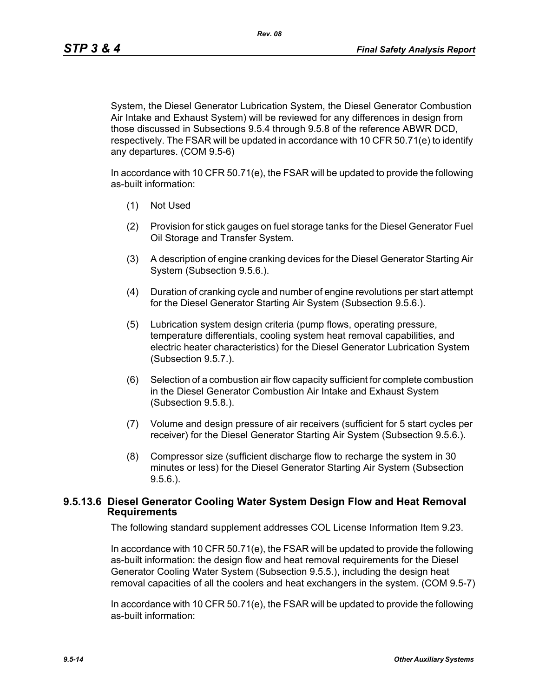*Rev. 08*

System, the Diesel Generator Lubrication System, the Diesel Generator Combustion Air Intake and Exhaust System) will be reviewed for any differences in design from those discussed in Subsections 9.5.4 through 9.5.8 of the reference ABWR DCD, respectively. The FSAR will be updated in accordance with 10 CFR 50.71(e) to identify any departures. (COM 9.5-6)

In accordance with 10 CFR 50.71(e), the FSAR will be updated to provide the following as-built information:

- (1) Not Used
- (2) Provision for stick gauges on fuel storage tanks for the Diesel Generator Fuel Oil Storage and Transfer System.
- (3) A description of engine cranking devices for the Diesel Generator Starting Air System (Subsection 9.5.6.).
- (4) Duration of cranking cycle and number of engine revolutions per start attempt for the Diesel Generator Starting Air System (Subsection 9.5.6.).
- (5) Lubrication system design criteria (pump flows, operating pressure, temperature differentials, cooling system heat removal capabilities, and electric heater characteristics) for the Diesel Generator Lubrication System (Subsection 9.5.7.).
- (6) Selection of a combustion air flow capacity sufficient for complete combustion in the Diesel Generator Combustion Air Intake and Exhaust System (Subsection 9.5.8.).
- (7) Volume and design pressure of air receivers (sufficient for 5 start cycles per receiver) for the Diesel Generator Starting Air System (Subsection 9.5.6.).
- (8) Compressor size (sufficient discharge flow to recharge the system in 30 minutes or less) for the Diesel Generator Starting Air System (Subsection 9.5.6.).

### **9.5.13.6 Diesel Generator Cooling Water System Design Flow and Heat Removal Requirements**

The following standard supplement addresses COL License Information Item 9.23.

In accordance with 10 CFR 50.71(e), the FSAR will be updated to provide the following as-built information: the design flow and heat removal requirements for the Diesel Generator Cooling Water System (Subsection 9.5.5.), including the design heat removal capacities of all the coolers and heat exchangers in the system. (COM 9.5-7)

In accordance with 10 CFR 50.71(e), the FSAR will be updated to provide the following as-built information: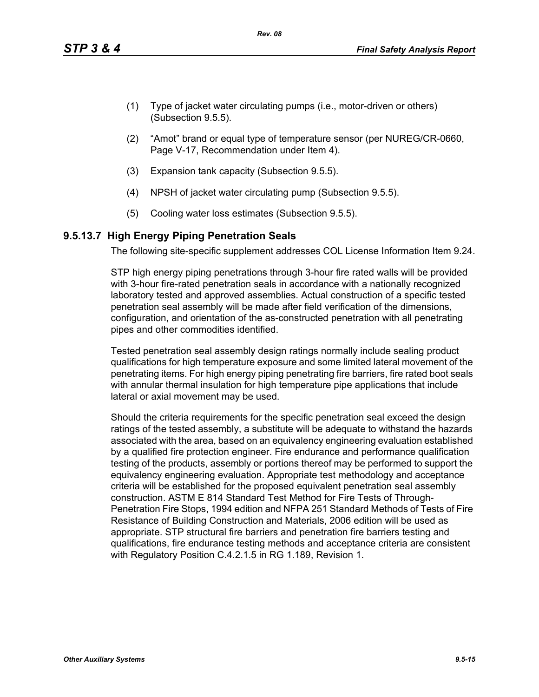- (1) Type of jacket water circulating pumps (i.e., motor-driven or others) (Subsection 9.5.5).
- (2) "Amot" brand or equal type of temperature sensor (per NUREG/CR-0660, Page V-17, Recommendation under Item 4).
- (3) Expansion tank capacity (Subsection 9.5.5).
- (4) NPSH of jacket water circulating pump (Subsection 9.5.5).
- (5) Cooling water loss estimates (Subsection 9.5.5).

## **9.5.13.7 High Energy Piping Penetration Seals**

The following site-specific supplement addresses COL License Information Item 9.24.

STP high energy piping penetrations through 3-hour fire rated walls will be provided with 3-hour fire-rated penetration seals in accordance with a nationally recognized laboratory tested and approved assemblies. Actual construction of a specific tested penetration seal assembly will be made after field verification of the dimensions, configuration, and orientation of the as-constructed penetration with all penetrating pipes and other commodities identified.

Tested penetration seal assembly design ratings normally include sealing product qualifications for high temperature exposure and some limited lateral movement of the penetrating items. For high energy piping penetrating fire barriers, fire rated boot seals with annular thermal insulation for high temperature pipe applications that include lateral or axial movement may be used.

Should the criteria requirements for the specific penetration seal exceed the design ratings of the tested assembly, a substitute will be adequate to withstand the hazards associated with the area, based on an equivalency engineering evaluation established by a qualified fire protection engineer. Fire endurance and performance qualification testing of the products, assembly or portions thereof may be performed to support the equivalency engineering evaluation. Appropriate test methodology and acceptance criteria will be established for the proposed equivalent penetration seal assembly construction. ASTM E 814 Standard Test Method for Fire Tests of Through-Penetration Fire Stops, 1994 edition and NFPA 251 Standard Methods of Tests of Fire Resistance of Building Construction and Materials, 2006 edition will be used as appropriate. STP structural fire barriers and penetration fire barriers testing and qualifications, fire endurance testing methods and acceptance criteria are consistent with Regulatory Position C.4.2.1.5 in RG 1.189, Revision 1.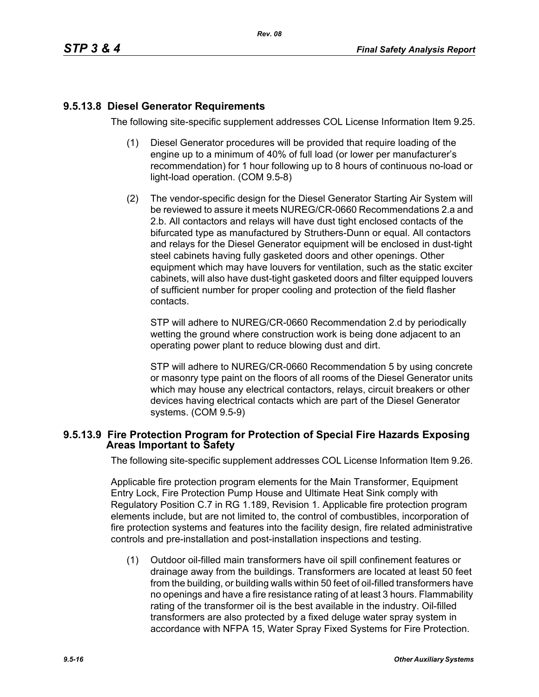# **9.5.13.8 Diesel Generator Requirements**

The following site-specific supplement addresses COL License Information Item 9.25.

- (1) Diesel Generator procedures will be provided that require loading of the engine up to a minimum of 40% of full load (or lower per manufacturer's recommendation) for 1 hour following up to 8 hours of continuous no-load or light-load operation. (COM 9.5-8)
- (2) The vendor-specific design for the Diesel Generator Starting Air System will be reviewed to assure it meets NUREG/CR-0660 Recommendations 2.a and 2.b. All contactors and relays will have dust tight enclosed contacts of the bifurcated type as manufactured by Struthers-Dunn or equal. All contactors and relays for the Diesel Generator equipment will be enclosed in dust-tight steel cabinets having fully gasketed doors and other openings. Other equipment which may have louvers for ventilation, such as the static exciter cabinets, will also have dust-tight gasketed doors and filter equipped louvers of sufficient number for proper cooling and protection of the field flasher contacts.

STP will adhere to NUREG/CR-0660 Recommendation 2.d by periodically wetting the ground where construction work is being done adjacent to an operating power plant to reduce blowing dust and dirt.

STP will adhere to NUREG/CR-0660 Recommendation 5 by using concrete or masonry type paint on the floors of all rooms of the Diesel Generator units which may house any electrical contactors, relays, circuit breakers or other devices having electrical contacts which are part of the Diesel Generator systems. (COM 9.5-9)

### **9.5.13.9 Fire Protection Program for Protection of Special Fire Hazards Exposing Areas Important to Safety**

The following site-specific supplement addresses COL License Information Item 9.26.

Applicable fire protection program elements for the Main Transformer, Equipment Entry Lock, Fire Protection Pump House and Ultimate Heat Sink comply with Regulatory Position C.7 in RG 1.189, Revision 1. Applicable fire protection program elements include, but are not limited to, the control of combustibles, incorporation of fire protection systems and features into the facility design, fire related administrative controls and pre-installation and post-installation inspections and testing.

(1) Outdoor oil-filled main transformers have oil spill confinement features or drainage away from the buildings. Transformers are located at least 50 feet from the building, or building walls within 50 feet of oil-filled transformers have no openings and have a fire resistance rating of at least 3 hours. Flammability rating of the transformer oil is the best available in the industry. Oil-filled transformers are also protected by a fixed deluge water spray system in accordance with NFPA 15, Water Spray Fixed Systems for Fire Protection.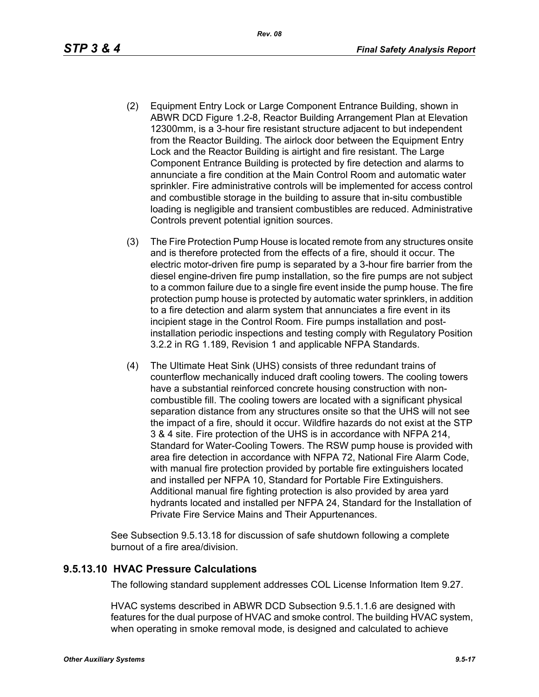- (2) Equipment Entry Lock or Large Component Entrance Building, shown in ABWR DCD Figure 1.2-8, Reactor Building Arrangement Plan at Elevation 12300mm, is a 3-hour fire resistant structure adjacent to but independent from the Reactor Building. The airlock door between the Equipment Entry Lock and the Reactor Building is airtight and fire resistant. The Large Component Entrance Building is protected by fire detection and alarms to annunciate a fire condition at the Main Control Room and automatic water sprinkler. Fire administrative controls will be implemented for access control and combustible storage in the building to assure that in-situ combustible loading is negligible and transient combustibles are reduced. Administrative Controls prevent potential ignition sources.
- (3) The Fire Protection Pump House is located remote from any structures onsite and is therefore protected from the effects of a fire, should it occur. The electric motor-driven fire pump is separated by a 3-hour fire barrier from the diesel engine-driven fire pump installation, so the fire pumps are not subject to a common failure due to a single fire event inside the pump house. The fire protection pump house is protected by automatic water sprinklers, in addition to a fire detection and alarm system that annunciates a fire event in its incipient stage in the Control Room. Fire pumps installation and postinstallation periodic inspections and testing comply with Regulatory Position 3.2.2 in RG 1.189, Revision 1 and applicable NFPA Standards.
- (4) The Ultimate Heat Sink (UHS) consists of three redundant trains of counterflow mechanically induced draft cooling towers. The cooling towers have a substantial reinforced concrete housing construction with noncombustible fill. The cooling towers are located with a significant physical separation distance from any structures onsite so that the UHS will not see the impact of a fire, should it occur. Wildfire hazards do not exist at the STP 3 & 4 site. Fire protection of the UHS is in accordance with NFPA 214, Standard for Water-Cooling Towers. The RSW pump house is provided with area fire detection in accordance with NFPA 72, National Fire Alarm Code, with manual fire protection provided by portable fire extinguishers located and installed per NFPA 10, Standard for Portable Fire Extinguishers. Additional manual fire fighting protection is also provided by area yard hydrants located and installed per NFPA 24, Standard for the Installation of Private Fire Service Mains and Their Appurtenances.

See Subsection 9.5.13.18 for discussion of safe shutdown following a complete burnout of a fire area/division.

### **9.5.13.10 HVAC Pressure Calculations**

The following standard supplement addresses COL License Information Item 9.27.

HVAC systems described in ABWR DCD Subsection 9.5.1.1.6 are designed with features for the dual purpose of HVAC and smoke control. The building HVAC system, when operating in smoke removal mode, is designed and calculated to achieve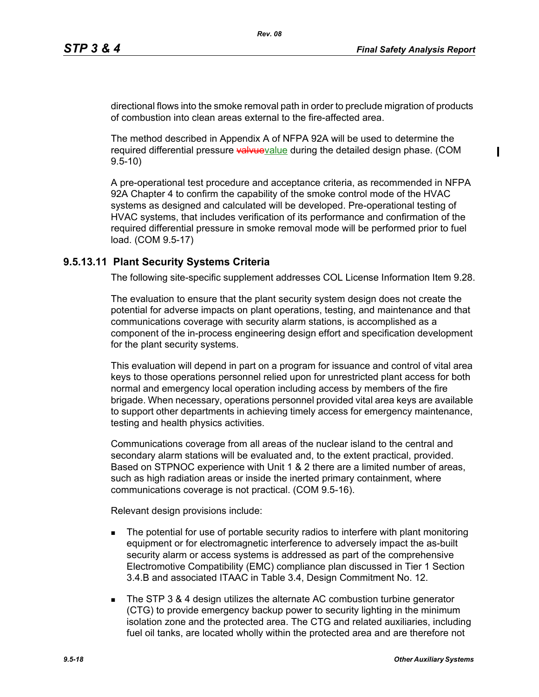directional flows into the smoke removal path in order to preclude migration of products of combustion into clean areas external to the fire-affected area.

*Rev. 08*

The method described in Appendix A of NFPA 92A will be used to determine the required differential pressure valvuevalue during the detailed design phase. (COM 9.5-10)

A pre-operational test procedure and acceptance criteria, as recommended in NFPA 92A Chapter 4 to confirm the capability of the smoke control mode of the HVAC systems as designed and calculated will be developed. Pre-operational testing of HVAC systems, that includes verification of its performance and confirmation of the required differential pressure in smoke removal mode will be performed prior to fuel load. (COM 9.5-17)

## **9.5.13.11 Plant Security Systems Criteria**

The following site-specific supplement addresses COL License Information Item 9.28.

The evaluation to ensure that the plant security system design does not create the potential for adverse impacts on plant operations, testing, and maintenance and that communications coverage with security alarm stations, is accomplished as a component of the in-process engineering design effort and specification development for the plant security systems.

This evaluation will depend in part on a program for issuance and control of vital area keys to those operations personnel relied upon for unrestricted plant access for both normal and emergency local operation including access by members of the fire brigade. When necessary, operations personnel provided vital area keys are available to support other departments in achieving timely access for emergency maintenance, testing and health physics activities.

Communications coverage from all areas of the nuclear island to the central and secondary alarm stations will be evaluated and, to the extent practical, provided. Based on STPNOC experience with Unit 1 & 2 there are a limited number of areas, such as high radiation areas or inside the inerted primary containment, where communications coverage is not practical. (COM 9.5-16).

Relevant design provisions include:

- **The potential for use of portable security radios to interfere with plant monitoring** equipment or for electromagnetic interference to adversely impact the as-built security alarm or access systems is addressed as part of the comprehensive Electromotive Compatibility (EMC) compliance plan discussed in Tier 1 Section 3.4.B and associated ITAAC in Table 3.4, Design Commitment No. 12.
- The STP 3 & 4 design utilizes the alternate AC combustion turbine generator (CTG) to provide emergency backup power to security lighting in the minimum isolation zone and the protected area. The CTG and related auxiliaries, including fuel oil tanks, are located wholly within the protected area and are therefore not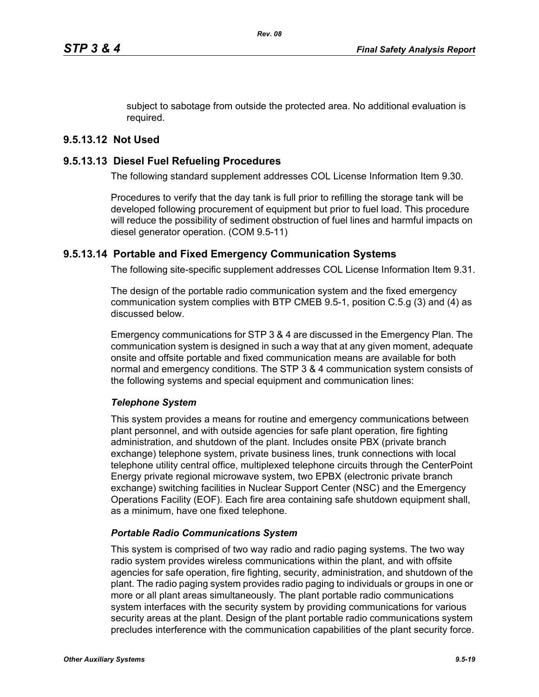subject to sabotage from outside the protected area. No additional evaluation is required.

# **9.5.13.12 Not Used**

## **9.5.13.13 Diesel Fuel Refueling Procedures**

The following standard supplement addresses COL License Information Item 9.30.

Procedures to verify that the day tank is full prior to refilling the storage tank will be developed following procurement of equipment but prior to fuel load. This procedure will reduce the possibility of sediment obstruction of fuel lines and harmful impacts on diesel generator operation. (COM 9.5-11)

## **9.5.13.14 Portable and Fixed Emergency Communication Systems**

The following site-specific supplement addresses COL License Information Item 9.31.

The design of the portable radio communication system and the fixed emergency communication system complies with BTP CMEB 9.5-1, position C.5.g (3) and (4) as discussed below.

Emergency communications for STP 3 & 4 are discussed in the Emergency Plan. The communication system is designed in such a way that at any given moment, adequate onsite and offsite portable and fixed communication means are available for both normal and emergency conditions. The STP 3 & 4 communication system consists of the following systems and special equipment and communication lines:

### *Telephone System*

This system provides a means for routine and emergency communications between plant personnel, and with outside agencies for safe plant operation, fire fighting administration, and shutdown of the plant. Includes onsite PBX (private branch exchange) telephone system, private business lines, trunk connections with local telephone utility central office, multiplexed telephone circuits through the CenterPoint Energy private regional microwave system, two EPBX (electronic private branch exchange) switching facilities in Nuclear Support Center (NSC) and the Emergency Operations Facility (EOF). Each fire area containing safe shutdown equipment shall, as a minimum, have one fixed telephone.

### *Portable Radio Communications System*

This system is comprised of two way radio and radio paging systems. The two way radio system provides wireless communications within the plant, and with offsite agencies for safe operation, fire fighting, security, administration, and shutdown of the plant. The radio paging system provides radio paging to individuals or groups in one or more or all plant areas simultaneously. The plant portable radio communications system interfaces with the security system by providing communications for various security areas at the plant. Design of the plant portable radio communications system precludes interference with the communication capabilities of the plant security force.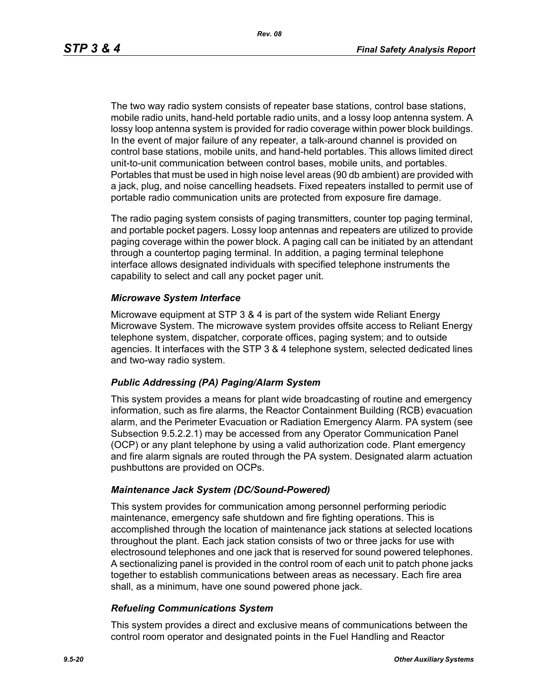The two way radio system consists of repeater base stations, control base stations, mobile radio units, hand-held portable radio units, and a lossy loop antenna system. A lossy loop antenna system is provided for radio coverage within power block buildings. In the event of major failure of any repeater, a talk-around channel is provided on control base stations, mobile units, and hand-held portables. This allows limited direct unit-to-unit communication between control bases, mobile units, and portables. Portables that must be used in high noise level areas (90 db ambient) are provided with a jack, plug, and noise cancelling headsets. Fixed repeaters installed to permit use of portable radio communication units are protected from exposure fire damage.

The radio paging system consists of paging transmitters, counter top paging terminal, and portable pocket pagers. Lossy loop antennas and repeaters are utilized to provide paging coverage within the power block. A paging call can be initiated by an attendant through a countertop paging terminal. In addition, a paging terminal telephone interface allows designated individuals with specified telephone instruments the capability to select and call any pocket pager unit.

#### *Microwave System Interface*

Microwave equipment at STP 3 & 4 is part of the system wide Reliant Energy Microwave System. The microwave system provides offsite access to Reliant Energy telephone system, dispatcher, corporate offices, paging system; and to outside agencies. It interfaces with the STP 3 & 4 telephone system, selected dedicated lines and two-way radio system.

#### *Public Addressing (PA) Paging/Alarm System*

This system provides a means for plant wide broadcasting of routine and emergency information, such as fire alarms, the Reactor Containment Building (RCB) evacuation alarm, and the Perimeter Evacuation or Radiation Emergency Alarm. PA system (see Subsection 9.5.2.2.1) may be accessed from any Operator Communication Panel (OCP) or any plant telephone by using a valid authorization code. Plant emergency and fire alarm signals are routed through the PA system. Designated alarm actuation pushbuttons are provided on OCPs.

#### *Maintenance Jack System (DC/Sound-Powered)*

This system provides for communication among personnel performing periodic maintenance, emergency safe shutdown and fire fighting operations. This is accomplished through the location of maintenance jack stations at selected locations throughout the plant. Each jack station consists of two or three jacks for use with electrosound telephones and one jack that is reserved for sound powered telephones. A sectionalizing panel is provided in the control room of each unit to patch phone jacks together to establish communications between areas as necessary. Each fire area shall, as a minimum, have one sound powered phone jack.

#### *Refueling Communications System*

This system provides a direct and exclusive means of communications between the control room operator and designated points in the Fuel Handling and Reactor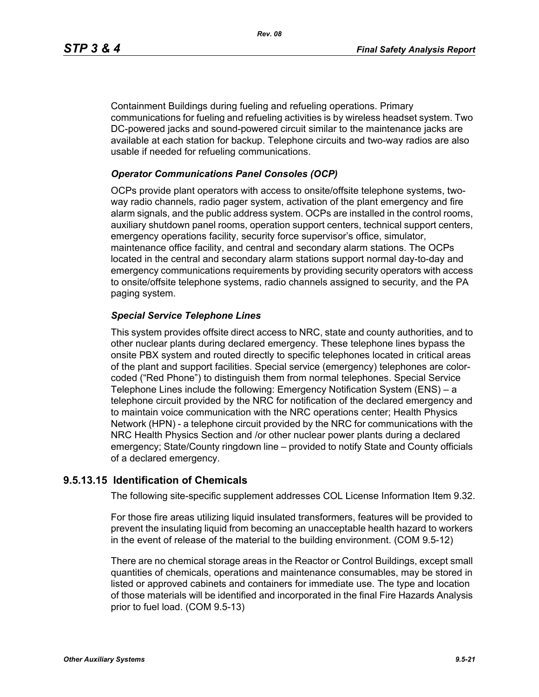Containment Buildings during fueling and refueling operations. Primary communications for fueling and refueling activities is by wireless headset system. Two DC-powered jacks and sound-powered circuit similar to the maintenance jacks are available at each station for backup. Telephone circuits and two-way radios are also usable if needed for refueling communications.

### *Operator Communications Panel Consoles (OCP)*

OCPs provide plant operators with access to onsite/offsite telephone systems, twoway radio channels, radio pager system, activation of the plant emergency and fire alarm signals, and the public address system. OCPs are installed in the control rooms, auxiliary shutdown panel rooms, operation support centers, technical support centers, emergency operations facility, security force supervisor's office, simulator, maintenance office facility, and central and secondary alarm stations. The OCPs located in the central and secondary alarm stations support normal day-to-day and emergency communications requirements by providing security operators with access to onsite/offsite telephone systems, radio channels assigned to security, and the PA paging system.

### *Special Service Telephone Lines*

This system provides offsite direct access to NRC, state and county authorities, and to other nuclear plants during declared emergency. These telephone lines bypass the onsite PBX system and routed directly to specific telephones located in critical areas of the plant and support facilities. Special service (emergency) telephones are colorcoded ("Red Phone") to distinguish them from normal telephones. Special Service Telephone Lines include the following: Emergency Notification System (ENS) – a telephone circuit provided by the NRC for notification of the declared emergency and to maintain voice communication with the NRC operations center; Health Physics Network (HPN) - a telephone circuit provided by the NRC for communications with the NRC Health Physics Section and /or other nuclear power plants during a declared emergency; State/County ringdown line – provided to notify State and County officials of a declared emergency.

### **9.5.13.15 Identification of Chemicals**

The following site-specific supplement addresses COL License Information Item 9.32.

For those fire areas utilizing liquid insulated transformers, features will be provided to prevent the insulating liquid from becoming an unacceptable health hazard to workers in the event of release of the material to the building environment. (COM 9.5-12)

There are no chemical storage areas in the Reactor or Control Buildings, except small quantities of chemicals, operations and maintenance consumables, may be stored in listed or approved cabinets and containers for immediate use. The type and location of those materials will be identified and incorporated in the final Fire Hazards Analysis prior to fuel load. (COM 9.5-13)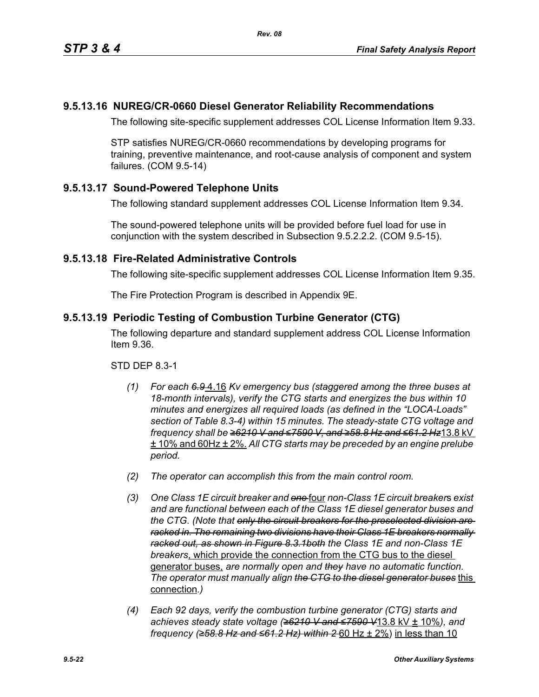# **9.5.13.16 NUREG/CR-0660 Diesel Generator Reliability Recommendations**

The following site-specific supplement addresses COL License Information Item 9.33.

STP satisfies NUREG/CR-0660 recommendations by developing programs for training, preventive maintenance, and root-cause analysis of component and system failures. (COM 9.5-14)

# **9.5.13.17 Sound-Powered Telephone Units**

The following standard supplement addresses COL License Information Item 9.34.

The sound-powered telephone units will be provided before fuel load for use in conjunction with the system described in Subsection 9.5.2.2.2. (COM 9.5-15).

## **9.5.13.18 Fire-Related Administrative Controls**

The following site-specific supplement addresses COL License Information Item 9.35.

The Fire Protection Program is described in Appendix 9E.

## **9.5.13.19 Periodic Testing of Combustion Turbine Generator (CTG)**

The following departure and standard supplement address COL License Information Item 9.36.

STD DEP 8.3-1

- *(1) For each 6.9* 4.16 *Kv emergency bus (staggered among the three buses at 18-month intervals), verify the CTG starts and energizes the bus within 10 minutes and energizes all required loads (as defined in the "LOCA-Loads" section of Table 8.3-4) within 15 minutes. The steady-state CTG voltage and frequency shall be ≥6210 V and ≤7590 V, and ≥58.8 Hz and ≤61.2 Hz*13.8 kV ± 10% and 60Hz ± 2%. *All CTG starts may be preceded by an engine prelube period.*
- *(2) The operator can accomplish this from the main control room.*
- *(3) One Class 1E circuit breaker and one* four *non-Class 1E circuit breaker*s *exist and are functional between each of the Class 1E diesel generator buses and the CTG. (Note that only the circuit breakers for the preselected division are racked in. The remaining two divisions have their Class 1E breakers normally racked out, as shown in Figure 8.3.1both the Class 1E and non-Class 1E breakers*, which provide the connection from the CTG bus to the diesel generator buses, *are normally open and they have no automatic function. The operator must manually align the CTG to the diesel generator buses* this connection*.)*
- *(4) Each 92 days, verify the combustion turbine generator (CTG) starts and achieves steady state voltage (≥6210 V and ≤7590 V*13.8 kV ± 10%*), and frequency (≥58.8 Hz and ≤61.2 Hz) within 2* 60 Hz ± 2%) in less than 10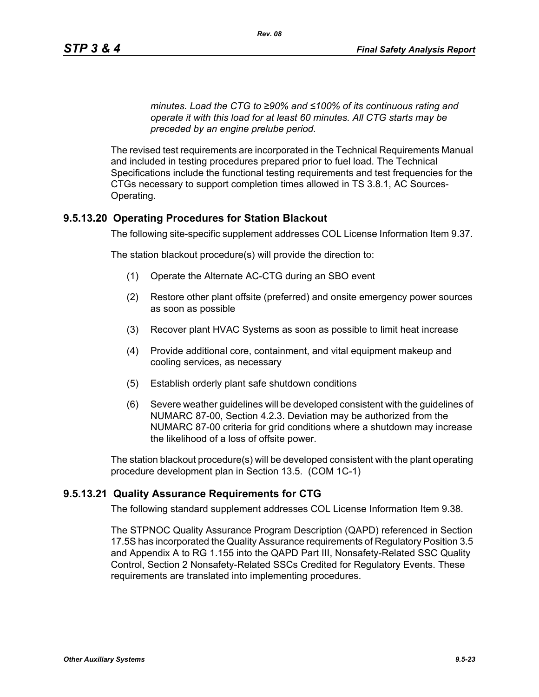*minutes. Load the CTG to ≥90% and ≤100% of its continuous rating and operate it with this load for at least 60 minutes. All CTG starts may be preceded by an engine prelube period.*

The revised test requirements are incorporated in the Technical Requirements Manual and included in testing procedures prepared prior to fuel load. The Technical Specifications include the functional testing requirements and test frequencies for the CTGs necessary to support completion times allowed in TS 3.8.1, AC Sources-Operating.

### **9.5.13.20 Operating Procedures for Station Blackout**

The following site-specific supplement addresses COL License Information Item 9.37.

The station blackout procedure(s) will provide the direction to:

- (1) Operate the Alternate AC-CTG during an SBO event
- (2) Restore other plant offsite (preferred) and onsite emergency power sources as soon as possible
- (3) Recover plant HVAC Systems as soon as possible to limit heat increase
- (4) Provide additional core, containment, and vital equipment makeup and cooling services, as necessary
- (5) Establish orderly plant safe shutdown conditions
- (6) Severe weather guidelines will be developed consistent with the guidelines of NUMARC 87-00, Section 4.2.3. Deviation may be authorized from the NUMARC 87-00 criteria for grid conditions where a shutdown may increase the likelihood of a loss of offsite power.

The station blackout procedure(s) will be developed consistent with the plant operating procedure development plan in Section 13.5. (COM 1C-1)

### **9.5.13.21 Quality Assurance Requirements for CTG**

The following standard supplement addresses COL License Information Item 9.38.

The STPNOC Quality Assurance Program Description (QAPD) referenced in Section 17.5S has incorporated the Quality Assurance requirements of Regulatory Position 3.5 and Appendix A to RG 1.155 into the QAPD Part III, Nonsafety-Related SSC Quality Control, Section 2 Nonsafety-Related SSCs Credited for Regulatory Events. These requirements are translated into implementing procedures.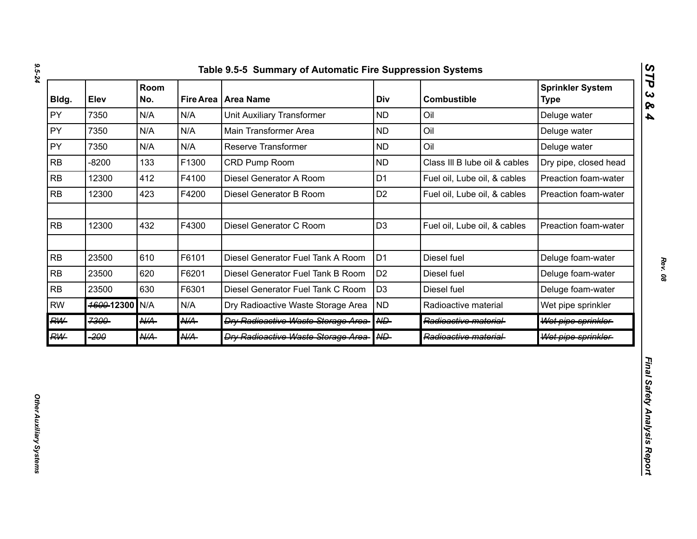| Bldg.     | Elev       | Room<br>No.     |                 | Fire Area   Area Name                      | Div               | <b>Combustible</b>            | <b>Sprinkler System</b><br><b>Type</b> |
|-----------|------------|-----------------|-----------------|--------------------------------------------|-------------------|-------------------------------|----------------------------------------|
| PY        | 7350       | N/A             | N/A             | <b>Unit Auxiliary Transformer</b>          | <b>ND</b>         | Oil                           | Deluge water                           |
| PY        | 7350       | N/A             | N/A             | Main Transformer Area                      | <b>ND</b>         | Oil                           | Deluge water                           |
| PY        | 7350       | N/A             | N/A             | Reserve Transformer                        | <b>ND</b>         | Oil                           | Deluge water                           |
| <b>RB</b> | $-8200$    | 133             | F1300           | CRD Pump Room                              | <b>ND</b>         | Class III B lube oil & cables | Dry pipe, closed head                  |
| <b>RB</b> | 12300      | 412             | F4100           | Diesel Generator A Room                    | D <sub>1</sub>    | Fuel oil, Lube oil, & cables  | Preaction foam-water                   |
| <b>RB</b> | 12300      | 423             | F4200           | Diesel Generator B Room                    | D <sub>2</sub>    | Fuel oil, Lube oil, & cables  | Preaction foam-water                   |
| RB        | 12300      | 432             | F4300           | Diesel Generator C Room                    | D <sub>3</sub>    | Fuel oil, Lube oil, & cables  | Preaction foam-water                   |
| RB        | 23500      | 610             | F6101           | Diesel Generator Fuel Tank A Room          | D <sub>1</sub>    | Diesel fuel                   | Deluge foam-water                      |
| <b>RB</b> | 23500      | 620             | F6201           | Diesel Generator Fuel Tank B Room          | D <sub>2</sub>    | Diesel fuel                   | Deluge foam-water                      |
| RB        | 23500      | 630             | F6301           | Diesel Generator Fuel Tank C Room          | D <sub>3</sub>    | Diesel fuel                   | Deluge foam-water                      |
| <b>RW</b> | 4600-12300 | N/A             | N/A             | Dry Radioactive Waste Storage Area         | <b>ND</b>         | Radioactive material          | Wet pipe sprinkler                     |
| <b>RW</b> | 7300       | AKA-            | $A\mathcal{U}A$ | <b>Dry Radioactive Waste Storage Area-</b> | $A \rightarrow B$ | Radioactive material-         | Wet pipe sprinkler                     |
| <b>RW</b> | -200       | $A\mathcal{U}A$ | <b>N/A</b>      | <b>Dry Radioactive Waste Storage Area-</b> | A                 | Radioactive material-         | Wet pipe sprinkler                     |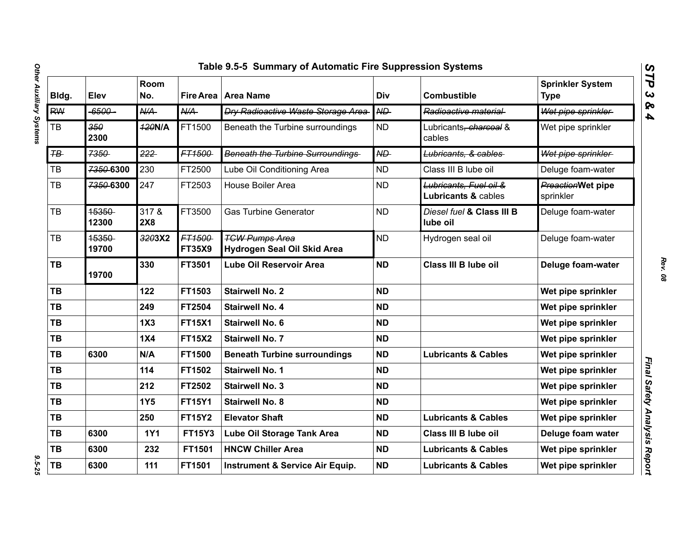| Bldg.          | Elev           | Room<br>No.      | <b>Fire Area</b>        | <b>Area Name</b>                                     | Div             | <b>Combustible</b>                            | <b>Sprinkler System</b><br><b>Type</b> |
|----------------|----------------|------------------|-------------------------|------------------------------------------------------|-----------------|-----------------------------------------------|----------------------------------------|
| <b>RW</b>      | $-6500-$       | $A\rightarrow A$ | N/A                     | <b>Dry Radioactive Waste Storage Area</b>            | $\overline{AD}$ | Radioactive material                          | Wet pipe sprinkler                     |
| TB             | 350<br>2300    | <b>420N/A</b>    | FT1500                  | Beneath the Turbine surroundings                     | <b>ND</b>       | Lubricants <del>, charcoal</del> &<br>cables  | Wet pipe sprinkler                     |
| $F\rightarrow$ | 7350           | 222              | FT1500                  | <b>Beneath the Turbine Surroundings</b>              | <b>ND</b>       | Lubricants, & cables                          | Wet pipe sprinkler                     |
| TB             | 7350-6300      | 230              | FT2500                  | Lube Oil Conditioning Area                           | <b>ND</b>       | Class III B lube oil                          | Deluge foam-water                      |
| <b>TB</b>      | 7350-6300      | 247              | FT2503                  | House Boiler Area                                    | <b>ND</b>       | Lubricants, Fuel oil &<br>Lubricants & cables | PreactionWet pipe<br>sprinkler         |
| <b>TB</b>      | 15350<br>12300 | 317 &<br>2X8     | FT3500                  | <b>Gas Turbine Generator</b>                         | <b>ND</b>       | Diesel fuel & Class III B<br>lube oil         | Deluge foam-water                      |
| <b>TB</b>      | 15350<br>19700 | 3203X2           | FT1500<br><b>FT35X9</b> | <b>TGW Pumps Area</b><br>Hydrogen Seal Oil Skid Area | <b>ND</b>       | Hydrogen seal oil                             | Deluge foam-water                      |
| <b>TB</b>      | 19700          | 330              | FT3501                  | Lube Oil Reservoir Area                              | <b>ND</b>       | <b>Class III B lube oil</b>                   | Deluge foam-water                      |
| TB             |                | 122              | FT1503                  | <b>Stairwell No. 2</b>                               | <b>ND</b>       |                                               | Wet pipe sprinkler                     |
| TB             |                | 249              | FT2504                  | <b>Stairwell No. 4</b>                               | <b>ND</b>       |                                               | Wet pipe sprinkler                     |
| <b>TB</b>      |                | 1X3              | <b>FT15X1</b>           | <b>Stairwell No. 6</b>                               | <b>ND</b>       |                                               | Wet pipe sprinkler                     |
| <b>TB</b>      |                | <b>1X4</b>       | <b>FT15X2</b>           | <b>Stairwell No. 7</b>                               | <b>ND</b>       |                                               | Wet pipe sprinkler                     |
| <b>TB</b>      | 6300           | N/A              | FT1500                  | <b>Beneath Turbine surroundings</b>                  | <b>ND</b>       | <b>Lubricants &amp; Cables</b>                | Wet pipe sprinkler                     |
| <b>TB</b>      |                | 114              | FT1502                  | <b>Stairwell No. 1</b>                               | <b>ND</b>       |                                               | Wet pipe sprinkler                     |
| <b>TB</b>      |                | 212              | FT2502                  | <b>Stairwell No. 3</b>                               | <b>ND</b>       |                                               | Wet pipe sprinkler                     |
| <b>TB</b>      |                | <b>1Y5</b>       | <b>FT15Y1</b>           | <b>Stairwell No. 8</b>                               | <b>ND</b>       |                                               | Wet pipe sprinkler                     |
| <b>TB</b>      |                | 250              | <b>FT15Y2</b>           | <b>Elevator Shaft</b>                                | <b>ND</b>       | <b>Lubricants &amp; Cables</b>                | Wet pipe sprinkler                     |
| TB             | 6300           | <b>1Y1</b>       | <b>FT15Y3</b>           | Lube Oil Storage Tank Area                           | <b>ND</b>       | Class III B lube oil                          | Deluge foam water                      |
| TB             | 6300           | 232              | FT1501                  | <b>HNCW Chiller Area</b>                             | <b>ND</b>       | <b>Lubricants &amp; Cables</b>                | Wet pipe sprinkler                     |
| TB             | 6300           | 111              | FT1501                  | <b>Instrument &amp; Service Air Equip.</b>           | <b>ND</b>       | <b>Lubricants &amp; Cables</b>                | Wet pipe sprinkler                     |

*STP 3 & 4*

 $9.5 - 25$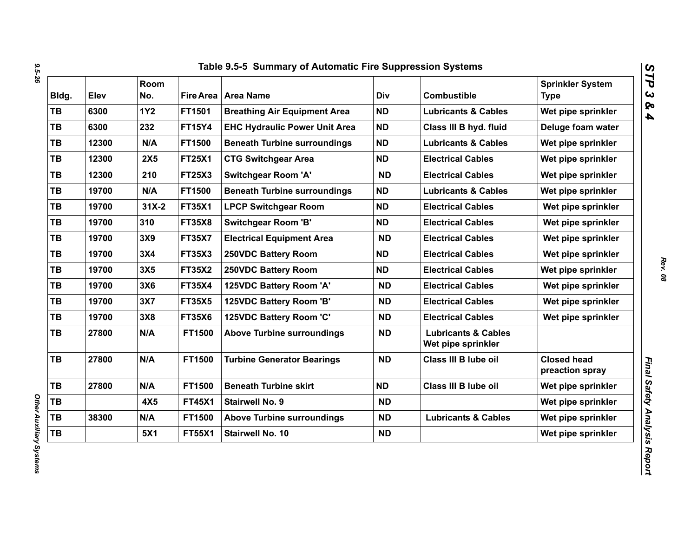| Bldg.     | Elev  | Room<br>No. |               | Fire Area   Area Name                | Div       | <b>Combustible</b>                                   | <b>Sprinkler System</b><br><b>Type</b> |
|-----------|-------|-------------|---------------|--------------------------------------|-----------|------------------------------------------------------|----------------------------------------|
| <b>TB</b> | 6300  | <b>1Y2</b>  | FT1501        | <b>Breathing Air Equipment Area</b>  | <b>ND</b> | <b>Lubricants &amp; Cables</b>                       | Wet pipe sprinkler                     |
| <b>TB</b> | 6300  | 232         | <b>FT15Y4</b> | <b>EHC Hydraulic Power Unit Area</b> | <b>ND</b> | Class III B hyd. fluid                               | Deluge foam water                      |
| TB        | 12300 | N/A         | FT1500        | <b>Beneath Turbine surroundings</b>  | <b>ND</b> | <b>Lubricants &amp; Cables</b>                       | Wet pipe sprinkler                     |
| TB        | 12300 | <b>2X5</b>  | <b>FT25X1</b> | <b>CTG Switchgear Area</b>           | <b>ND</b> | <b>Electrical Cables</b>                             | Wet pipe sprinkler                     |
| TB        | 12300 | 210         | <b>FT25X3</b> | <b>Switchgear Room 'A'</b>           | <b>ND</b> | <b>Electrical Cables</b>                             | Wet pipe sprinkler                     |
| TB        | 19700 | N/A         | FT1500        | <b>Beneath Turbine surroundings</b>  | <b>ND</b> | <b>Lubricants &amp; Cables</b>                       | Wet pipe sprinkler                     |
| <b>TB</b> | 19700 | $31X-2$     | <b>FT35X1</b> | <b>LPCP Switchgear Room</b>          | <b>ND</b> | <b>Electrical Cables</b>                             | Wet pipe sprinkler                     |
| <b>TB</b> | 19700 | 310         | <b>FT35X8</b> | <b>Switchgear Room 'B'</b>           | <b>ND</b> | <b>Electrical Cables</b>                             | Wet pipe sprinkler                     |
| <b>TB</b> | 19700 | 3X9         | <b>FT35X7</b> | <b>Electrical Equipment Area</b>     | <b>ND</b> | <b>Electrical Cables</b>                             | Wet pipe sprinkler                     |
| <b>TB</b> | 19700 | 3X4         | <b>FT35X3</b> | 250VDC Battery Room                  | <b>ND</b> | <b>Electrical Cables</b>                             | Wet pipe sprinkler                     |
| <b>TB</b> | 19700 | 3X5         | <b>FT35X2</b> | 250VDC Battery Room                  | <b>ND</b> | <b>Electrical Cables</b>                             | Wet pipe sprinkler                     |
| TB        | 19700 | 3X6         | <b>FT35X4</b> | 125VDC Battery Room 'A'              | <b>ND</b> | <b>Electrical Cables</b>                             | Wet pipe sprinkler                     |
| <b>TB</b> | 19700 | 3X7         | <b>FT35X5</b> | 125VDC Battery Room 'B'              | <b>ND</b> | <b>Electrical Cables</b>                             | Wet pipe sprinkler                     |
| TB        | 19700 | 3X8         | <b>FT35X6</b> | 125VDC Battery Room 'C'              | <b>ND</b> | <b>Electrical Cables</b>                             | Wet pipe sprinkler                     |
| <b>TB</b> | 27800 | N/A         | FT1500        | <b>Above Turbine surroundings</b>    | <b>ND</b> | <b>Lubricants &amp; Cables</b><br>Wet pipe sprinkler |                                        |
| <b>TB</b> | 27800 | N/A         | FT1500        | <b>Turbine Generator Bearings</b>    | <b>ND</b> | Class III B lube oil                                 | <b>Closed head</b><br>preaction spray  |
| <b>TB</b> | 27800 | N/A         | FT1500        | <b>Beneath Turbine skirt</b>         | <b>ND</b> | Class III B lube oil                                 | Wet pipe sprinkler                     |
| TB        |       | 4X5         | <b>FT45X1</b> | <b>Stairwell No. 9</b>               | <b>ND</b> |                                                      | Wet pipe sprinkler                     |
| TB        | 38300 | N/A         | FT1500        | <b>Above Turbine surroundings</b>    | <b>ND</b> | <b>Lubricants &amp; Cables</b>                       | Wet pipe sprinkler                     |
| TB        |       | 5X1         | <b>FT55X1</b> | Stairwell No. 10                     | <b>ND</b> |                                                      | Wet pipe sprinkler                     |

*STP 3 & 4*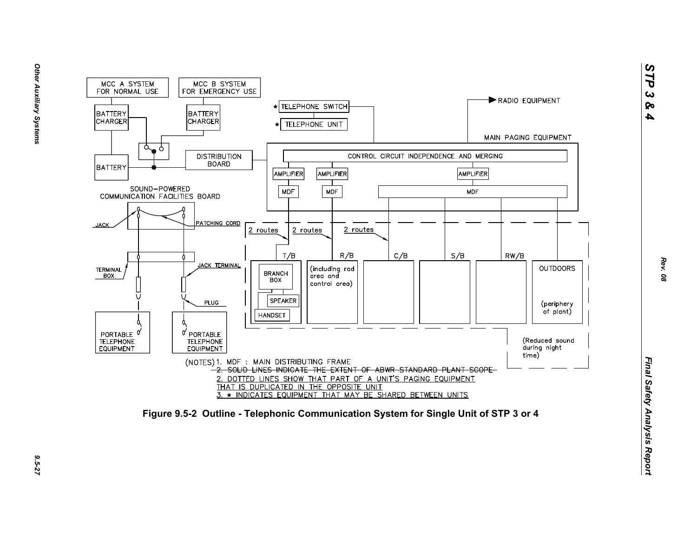

*STP 3 & 4*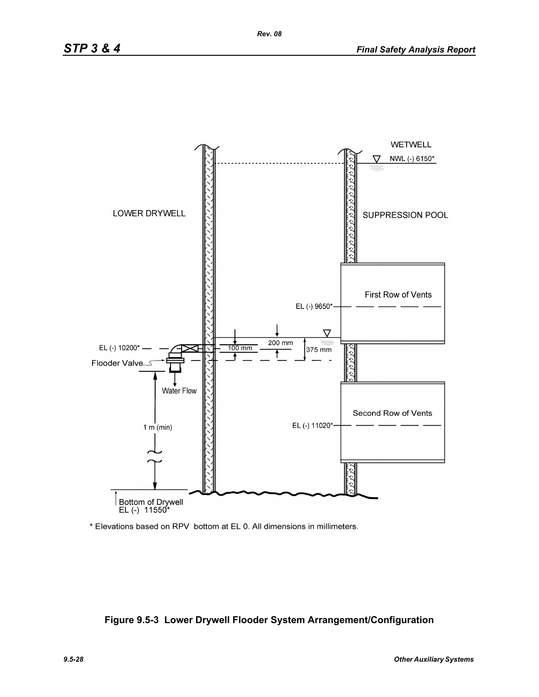

\* Elevations based on RPV bottom at EL 0. All dimensions in millimeters.

### **Figure 9.5-3 Lower Drywell Flooder System Arrangement/Configuration**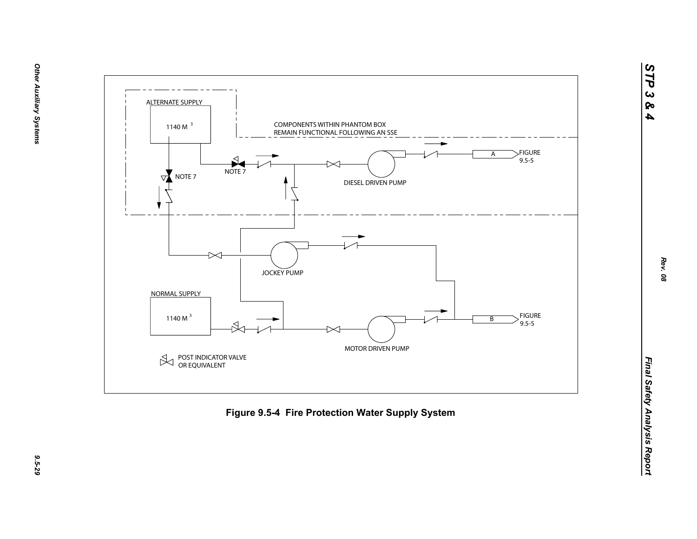





*STP 3 & 4*

9.5-29